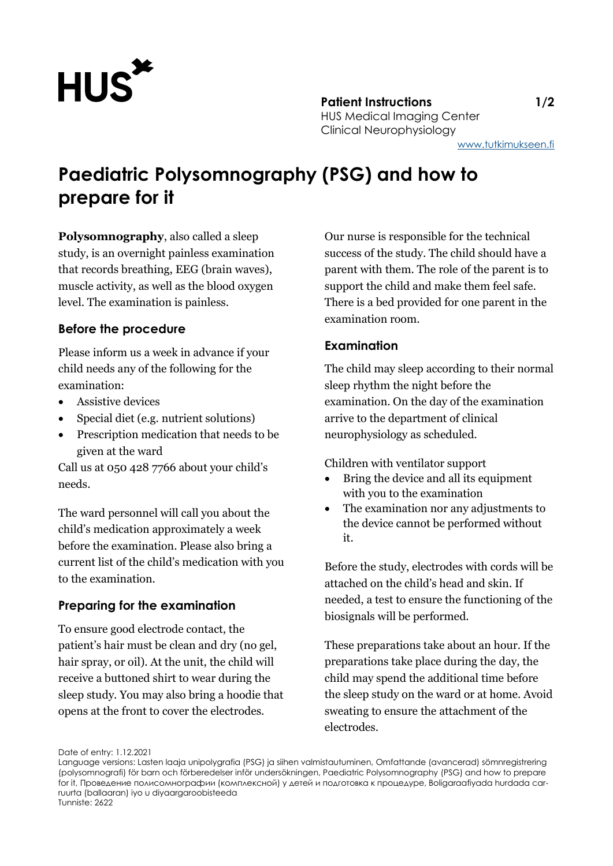

[www.tutkimukseen.fi](http://www.tutkimukseen.fi/)

# **Paediatric Polysomnography (PSG) and how to prepare for it**

**Polysomnography**, also called a sleep study, is an overnight painless examination that records breathing, EEG (brain waves), muscle activity, as well as the blood oxygen level. The examination is painless.

### **Before the procedure**

Please inform us a week in advance if your child needs any of the following for the examination:

- Assistive devices
- Special diet (e.g. nutrient solutions)
- Prescription medication that needs to be given at the ward

Call us at 050 428 7766 about your child's needs.

The ward personnel will call you about the child's medication approximately a week before the examination. Please also bring a current list of the child's medication with you to the examination.

# **Preparing for the examination**

To ensure good electrode contact, the patient's hair must be clean and dry (no gel, hair spray, or oil). At the unit, the child will receive a buttoned shirt to wear during the sleep study. You may also bring a hoodie that opens at the front to cover the electrodes.

Our nurse is responsible for the technical success of the study. The child should have a parent with them. The role of the parent is to support the child and make them feel safe. There is a bed provided for one parent in the examination room.

# **Examination**

The child may sleep according to their normal sleep rhythm the night before the examination. On the day of the examination arrive to the department of clinical neurophysiology as scheduled.

Children with ventilator support

- Bring the device and all its equipment with you to the examination
- The examination nor any adjustments to the device cannot be performed without it.

Before the study, electrodes with cords will be attached on the child's head and skin. If needed, a test to ensure the functioning of the biosignals will be performed.

These preparations take about an hour. If the preparations take place during the day, the child may spend the additional time before the sleep study on the ward or at home. Avoid sweating to ensure the attachment of the electrodes.

Date of entry: 1.12.2021

Language versions: Lasten laaja unipolygrafia (PSG) ja siihen valmistautuminen, Omfattande (avancerad) sömnregistrering (polysomnografi) för barn och förberedelser inför undersökningen, Paediatric Polysomnography (PSG) and how to prepare for it, Проведение полисомнографии (комплексной) у детей и подготовка к процедуре, Boligaraafiyada hurdada carruurta (ballaaran) iyo u diyaargaroobisteeda Tunniste: 2622